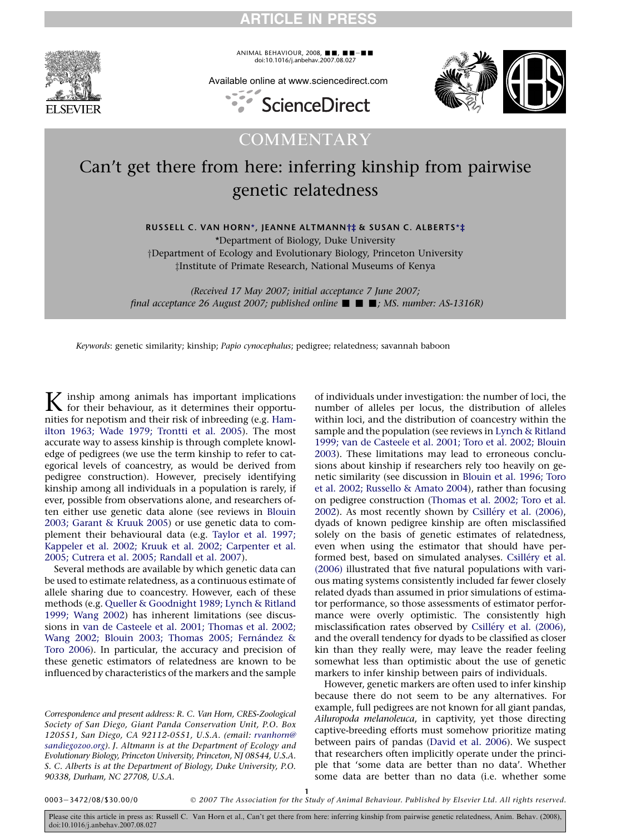## **ARTICLE IN PRES**



ANIMAL BEHAVIOUR, 2008,  $\blacksquare$ ,  $\blacksquare$ doi:10.1016/j.anbehav.2007.08.027

Available online at www.sciencedirect.com





# **COMMENTARY**

# Can't get there from here: inferring kinship from pairwise genetic relatedness

RUSSELL C. VAN HORN\*, JEANNE ALTMANN†‡ & SUSAN C. ALBERTS\*‡

\*Department of Biology, Duke University

<sup>†</sup>Department of Ecology and Evolutionary Biology, Princeton University zInstitute of Primate Research, National Museums of Kenya

(Received 17 May 2007; initial acceptance 7 June 2007; final acceptance 26 August 2007; published online  $\blacksquare \blacksquare$ ; MS. number: AS-1316R)

Keywords: genetic similarity; kinship; Papio cynocephalus; pedigree; relatedness; savannah baboon

 $\lambda$  inship among animals has important implications for their behaviour, as it determines their opportunities for nepotism and their risk of inbreeding (e.g. [Ham](#page-6-0)[ilton 1963; Wade 1979; Trontti et al. 2005\)](#page-6-0). The most accurate way to assess kinship is through complete knowledge of pedigrees (we use the term kinship to refer to categorical levels of coancestry, as would be derived from pedigree construction). However, precisely identifying kinship among all individuals in a population is rarely, if ever, possible from observations alone, and researchers often either use genetic data alone (see reviews in [Blouin](#page-6-0) [2003; Garant & Kruuk 2005](#page-6-0)) or use genetic data to complement their behavioural data (e.g. [Taylor et al. 1997;](#page-7-0) [Kappeler et al. 2002; Kruuk et al. 2002; Carpenter et al.](#page-7-0) [2005; Cutrera et al. 2005; Randall et al. 2007\)](#page-7-0).

Several methods are available by which genetic data can be used to estimate relatedness, as a continuous estimate of allele sharing due to coancestry. However, each of these methods (e.g. [Queller & Goodnight 1989; Lynch & Ritland](#page-6-0) [1999; Wang 2002\)](#page-6-0) has inherent limitations (see discussions in [van de Casteele et al. 2001; Thomas et al. 2002;](#page-6-0) Wang 2002; Blouin 2003; Thomas 2005; Fernández & [Toro 2006\)](#page-6-0). In particular, the accuracy and precision of these genetic estimators of relatedness are known to be influenced by characteristics of the markers and the sample

Correspondence and present address: R. C. Van Horn, CRES-Zoological Society of San Diego, Giant Panda Conservation Unit, P.O. Box 120551, San Diego, CA 92112-0551, U.S.A. (email: [rvanhorn@](mailto:rvanhorn@sandiegozoo.org) [sandiegozoo.org\)](mailto:rvanhorn@sandiegozoo.org). J. Altmann is at the Department of Ecology and Evolutionary Biology, Princeton University, Princeton, NJ 08544, U.S.A. S. C. Alberts is at the Department of Biology, Duke University, P.O. 90338, Durham, NC 27708, U.S.A.

of individuals under investigation: the number of loci, the number of alleles per locus, the distribution of alleles within loci, and the distribution of coancestry within the sample and the population (see reviews in [Lynch & Ritland](#page-6-0) [1999; van de Casteele et al. 2001; Toro et al. 2002; Blouin](#page-6-0) [2003](#page-6-0)). These limitations may lead to erroneous conclusions about kinship if researchers rely too heavily on genetic similarity (see discussion in [Blouin et al. 1996; Toro](#page-6-0) [et al. 2002; Russello & Amato 2004](#page-6-0)), rather than focusing on pedigree construction [\(Thomas et al. 2002; Toro et al.](#page-7-0) [2002](#page-7-0)). As most recently shown by Csilléry et al. (2006), dyads of known pedigree kinship are often misclassified solely on the basis of genetic estimates of relatedness, even when using the estimator that should have performed best, based on simulated analyses. Csilléry et al. [\(2006\)](#page-6-0) illustrated that five natural populations with various mating systems consistently included far fewer closely related dyads than assumed in prior simulations of estimator performance, so those assessments of estimator performance were overly optimistic. The consistently high misclassification rates observed by Csilléry et al. (2006), and the overall tendency for dyads to be classified as closer kin than they really were, may leave the reader feeling somewhat less than optimistic about the use of genetic markers to infer kinship between pairs of individuals.

However, genetic markers are often used to infer kinship because there do not seem to be any alternatives. For example, full pedigrees are not known for all giant pandas, Ailuropoda melanoleuca, in captivity, yet those directing captive-breeding efforts must somehow prioritize mating between pairs of pandas [\(David et al. 2006\)](#page-6-0). We suspect that researchers often implicitly operate under the principle that 'some data are better than no data'. Whether some data are better than no data (i.e. whether some

0003e3472/08/\$30.00/0 -

1 2007 The Association for the Study of Animal Behaviour. Published by Elsevier Ltd. All rights reserved.

Please cite this article in press as: Russell C. Van Horn et al., Can't get there from here: inferring kinship from pairwise genetic relatedness, Anim. Behav. (2008), doi:10.1016/j.anbehav.2007.08.027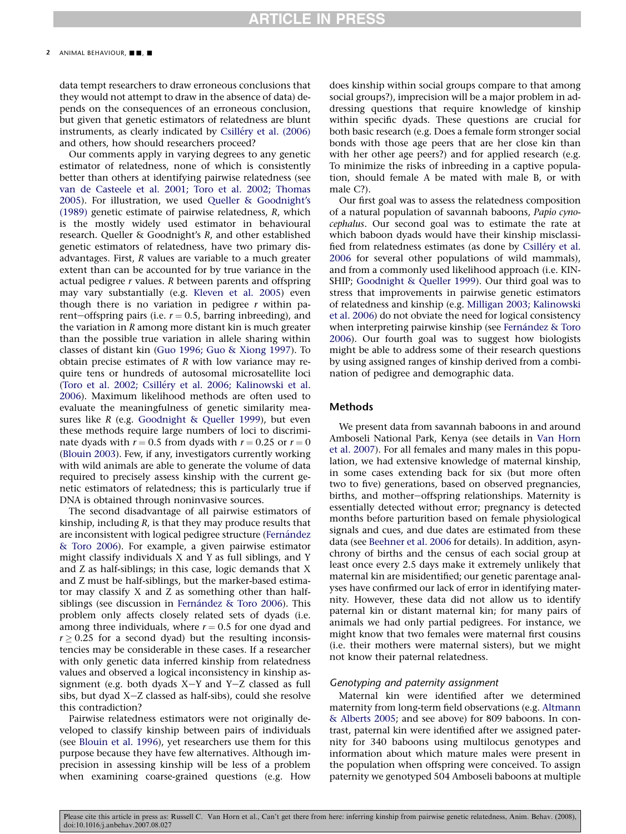## ARTICLE IN PRESS

data tempt researchers to draw erroneous conclusions that they would not attempt to draw in the absence of data) depends on the consequences of an erroneous conclusion, but given that genetic estimators of relatedness are blunt instruments, as clearly indicated by Csilléry et al. (2006) and others, how should researchers proceed?

Our comments apply in varying degrees to any genetic estimator of relatedness, none of which is consistently better than others at identifying pairwise relatedness (see [van de Casteele et al. 2001; Toro et al. 2002; Thomas](#page-6-0) [2005](#page-6-0)). For illustration, we used [Queller & Goodnight's](#page-6-0) [\(1989\)](#page-6-0) genetic estimate of pairwise relatedness, R, which is the mostly widely used estimator in behavioural research. Queller & Goodnight's R, and other established genetic estimators of relatedness, have two primary disadvantages. First, R values are variable to a much greater extent than can be accounted for by true variance in the actual pedigree  $r$  values.  $R$  between parents and offspring may vary substantially (e.g. [Kleven et al. 2005](#page-6-0)) even though there is no variation in pedigree  $r$  within parent-offspring pairs (i.e.  $r = 0.5$ , barring inbreeding), and the variation in R among more distant kin is much greater than the possible true variation in allele sharing within classes of distant kin [\(Guo 1996; Guo & Xiong 1997\)](#page-6-0). To obtain precise estimates of R with low variance may require tens or hundreds of autosomal microsatellite loci (Toro et al. 2002; Csilléry et al. 2006; Kalinowski et al. [2006](#page-7-0)). Maximum likelihood methods are often used to evaluate the meaningfulness of genetic similarity measures like R (e.g. [Goodnight & Queller 1999\)](#page-6-0), but even these methods require large numbers of loci to discriminate dyads with  $r = 0.5$  from dyads with  $r = 0.25$  or  $r = 0$ ([Blouin 2003](#page-6-0)). Few, if any, investigators currently working with wild animals are able to generate the volume of data required to precisely assess kinship with the current genetic estimators of relatedness; this is particularly true if DNA is obtained through noninvasive sources.

The second disadvantage of all pairwise estimators of kinship, including  $R$ , is that they may produce results that are inconsistent with logical pedigree structure (Fernández [& Toro 2006](#page-6-0)). For example, a given pairwise estimator might classify individuals X and Y as full siblings, and Y and Z as half-siblings; in this case, logic demands that X and Z must be half-siblings, but the marker-based estimator may classify X and Z as something other than halfsiblings (see discussion in Fernández & Toro 2006). This problem only affects closely related sets of dyads (i.e. among three individuals, where  $r = 0.5$  for one dyad and  $r \geq 0.25$  for a second dyad) but the resulting inconsistencies may be considerable in these cases. If a researcher with only genetic data inferred kinship from relatedness values and observed a logical inconsistency in kinship assignment (e.g. both dyads  $X-Y$  and  $Y-Z$  classed as full sibs, but dyad  $X-Z$  classed as half-sibs), could she resolve this contradiction?

Pairwise relatedness estimators were not originally developed to classify kinship between pairs of individuals (see [Blouin et al. 1996](#page-6-0)), yet researchers use them for this purpose because they have few alternatives. Although imprecision in assessing kinship will be less of a problem when examining coarse-grained questions (e.g. How

does kinship within social groups compare to that among social groups?), imprecision will be a major problem in addressing questions that require knowledge of kinship within specific dyads. These questions are crucial for both basic research (e.g. Does a female form stronger social bonds with those age peers that are her close kin than with her other age peers?) and for applied research (e.g. To minimize the risks of inbreeding in a captive population, should female A be mated with male B, or with male C?).

Our first goal was to assess the relatedness composition of a natural population of savannah baboons, Papio cynocephalus. Our second goal was to estimate the rate at which baboon dyads would have their kinship misclassified from relatedness estimates (as done by Csilléry et al. [2006](#page-6-0) for several other populations of wild mammals), and from a commonly used likelihood approach (i.e. KIN-SHIP; [Goodnight & Queller 1999\)](#page-6-0). Our third goal was to stress that improvements in pairwise genetic estimators of relatedness and kinship (e.g. [Milligan 2003; Kalinowski](#page-6-0) [et al. 2006](#page-6-0)) do not obviate the need for logical consistency when interpreting pairwise kinship (see Fernández & Toro [2006](#page-6-0)). Our fourth goal was to suggest how biologists might be able to address some of their research questions by using assigned ranges of kinship derived from a combination of pedigree and demographic data.

#### Methods

We present data from savannah baboons in and around Amboseli National Park, Kenya (see details in [Van Horn](#page-7-0) [et al. 2007\)](#page-7-0). For all females and many males in this population, we had extensive knowledge of maternal kinship, in some cases extending back for six (but more often two to five) generations, based on observed pregnancies, births, and mother-offspring relationships. Maternity is essentially detected without error; pregnancy is detected months before parturition based on female physiological signals and cues, and due dates are estimated from these data (see [Beehner et al. 2006](#page-6-0) for details). In addition, asynchrony of births and the census of each social group at least once every 2.5 days make it extremely unlikely that maternal kin are misidentified; our genetic parentage analyses have confirmed our lack of error in identifying maternity. However, these data did not allow us to identify paternal kin or distant maternal kin; for many pairs of animals we had only partial pedigrees. For instance, we might know that two females were maternal first cousins (i.e. their mothers were maternal sisters), but we might not know their paternal relatedness.

#### Genotyping and paternity assignment

Maternal kin were identified after we determined maternity from long-term field observations (e.g. [Altmann](#page-6-0) [& Alberts 2005;](#page-6-0) and see above) for 809 baboons. In contrast, paternal kin were identified after we assigned paternity for 340 baboons using multilocus genotypes and information about which mature males were present in the population when offspring were conceived. To assign paternity we genotyped 504 Amboseli baboons at multiple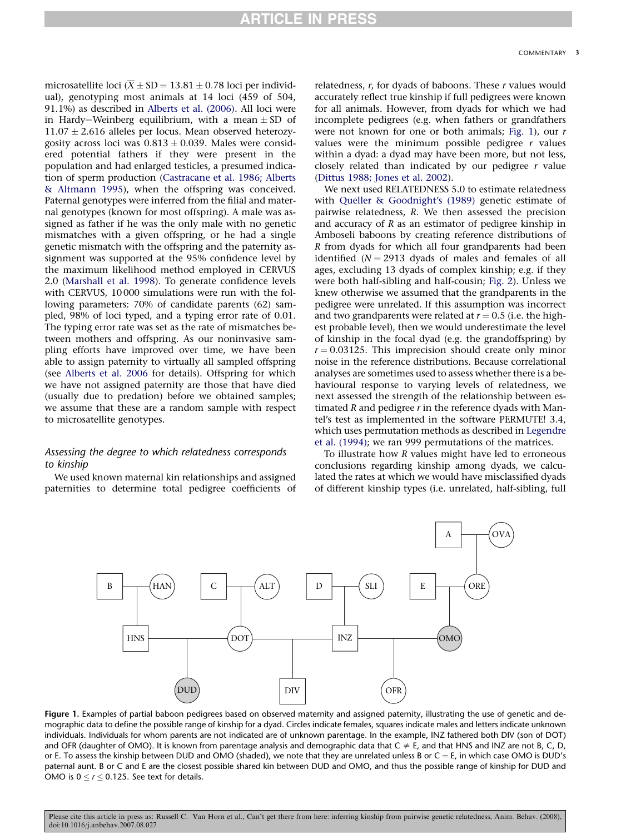<span id="page-2-0"></span>microsatellite loci ( $\overline{X}$  ± SD = 13.81 ± 0.78 loci per individual), genotyping most animals at 14 loci (459 of 504, 91.1%) as described in [Alberts et al. \(2006\)](#page-6-0). All loci were in Hardy–Weinberg equilibrium, with a mean  $\pm$  SD of  $11.07 \pm 2.616$  alleles per locus. Mean observed heterozygosity across loci was  $0.813 \pm 0.039$ . Males were considered potential fathers if they were present in the population and had enlarged testicles, a presumed indication of sperm production ([Castracane et al. 1986; Alberts](#page-6-0) [& Altmann 1995](#page-6-0)), when the offspring was conceived. Paternal genotypes were inferred from the filial and maternal genotypes (known for most offspring). A male was assigned as father if he was the only male with no genetic mismatches with a given offspring, or he had a single genetic mismatch with the offspring and the paternity assignment was supported at the 95% confidence level by the maximum likelihood method employed in CERVUS 2.0 [\(Marshall et al. 1998\)](#page-6-0). To generate confidence levels with CERVUS, 10 000 simulations were run with the following parameters: 70% of candidate parents (62) sampled, 98% of loci typed, and a typing error rate of 0.01. The typing error rate was set as the rate of mismatches between mothers and offspring. As our noninvasive sampling efforts have improved over time, we have been able to assign paternity to virtually all sampled offspring (see [Alberts et al. 2006](#page-6-0) for details). Offspring for which we have not assigned paternity are those that have died (usually due to predation) before we obtained samples; we assume that these are a random sample with respect to microsatellite genotypes.

### Assessing the degree to which relatedness corresponds to kinship

We used known maternal kin relationships and assigned paternities to determine total pedigree coefficients of relatedness, r, for dyads of baboons. These r values would accurately reflect true kinship if full pedigrees were known for all animals. However, from dyads for which we had incomplete pedigrees (e.g. when fathers or grandfathers were not known for one or both animals; Fig. 1), our r values were the minimum possible pedigree  $r$  values within a dyad: a dyad may have been more, but not less, closely related than indicated by our pedigree  $r$  value ([Dittus 1988; Jones et al. 2002](#page-6-0)).

We next used RELATEDNESS 5.0 to estimate relatedness with [Queller & Goodnight's \(1989\)](#page-6-0) genetic estimate of pairwise relatedness, R. We then assessed the precision and accuracy of  $R$  as an estimator of pedigree kinship in Amboseli baboons by creating reference distributions of R from dyads for which all four grandparents had been identified  $(N = 2913$  dyads of males and females of all ages, excluding 13 dyads of complex kinship; e.g. if they were both half-sibling and half-cousin; [Fig. 2](#page-3-0)). Unless we knew otherwise we assumed that the grandparents in the pedigree were unrelated. If this assumption was incorrect and two grandparents were related at  $r = 0.5$  (i.e. the highest probable level), then we would underestimate the level of kinship in the focal dyad (e.g. the grandoffspring) by  $r = 0.03125$ . This imprecision should create only minor noise in the reference distributions. Because correlational analyses are sometimes used to assess whether there is a behavioural response to varying levels of relatedness, we next assessed the strength of the relationship between estimated  $R$  and pedigree  $r$  in the reference dyads with Mantel's test as implemented in the software PERMUTE! 3.4, which uses permutation methods as described in [Legendre](#page-6-0) [et al. \(1994\)](#page-6-0); we ran 999 permutations of the matrices.

To illustrate how R values might have led to erroneous conclusions regarding kinship among dyads, we calculated the rates at which we would have misclassified dyads of different kinship types (i.e. unrelated, half-sibling, full



Figure 1. Examples of partial baboon pedigrees based on observed maternity and assigned paternity, illustrating the use of genetic and demographic data to define the possible range of kinship for a dyad. Circles indicate females, squares indicate males and letters indicate unknown individuals. Individuals for whom parents are not indicated are of unknown parentage. In the example, INZ fathered both DIV (son of DOT) and OFR (daughter of OMO). It is known from parentage analysis and demographic data that  $C \neq E$ , and that HNS and INZ are not B, C, D, or E. To assess the kinship between DUD and OMO (shaded), we note that they are unrelated unless B or  $C = E$ , in which case OMO is DUD's paternal aunt. B or C and E are the closest possible shared kin between DUD and OMO, and thus the possible range of kinship for DUD and OMO is  $0 \le r \le 0.125$ . See text for details.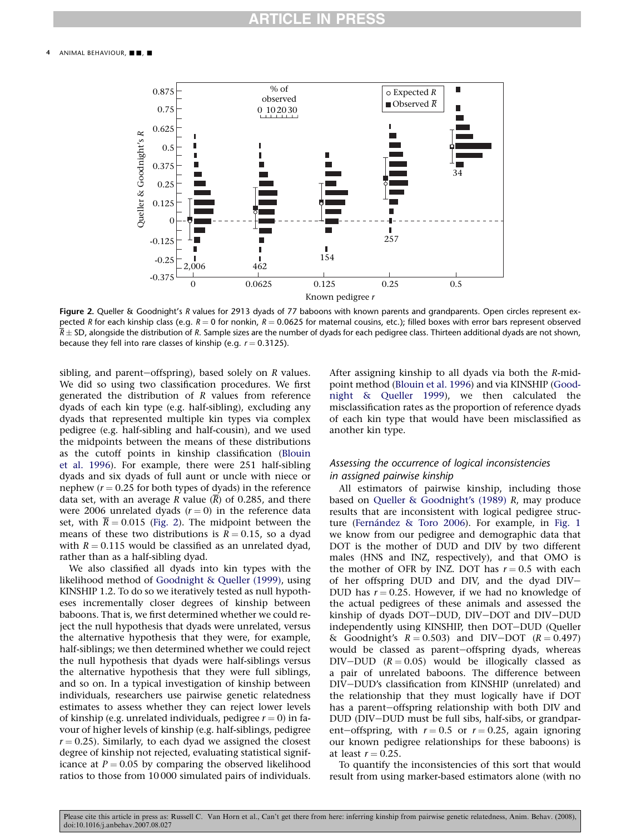<span id="page-3-0"></span>

Figure 2. Queller & Goodnight's R values for 2913 dyads of 77 baboons with known parents and grandparents. Open circles represent expected R for each kinship class (e.g.  $R = 0$  for nonkin,  $R = 0.0625$  for maternal cousins, etc.); filled boxes with error bars represent observed  $\overline{R}$   $\pm$  SD, alongside the distribution of R. Sample sizes are the number of dyads for each pedigree class. Thirteen additional dyads are not shown, because they fell into rare classes of kinship (e.g.  $r = 0.3125$ ).

sibling, and parent-offspring), based solely on  $R$  values. We did so using two classification procedures. We first generated the distribution of R values from reference dyads of each kin type (e.g. half-sibling), excluding any dyads that represented multiple kin types via complex pedigree (e.g. half-sibling and half-cousin), and we used the midpoints between the means of these distributions as the cutoff points in kinship classification [\(Blouin](#page-6-0) [et al. 1996](#page-6-0)). For example, there were 251 half-sibling dyads and six dyads of full aunt or uncle with niece or nephew ( $r = 0.25$  for both types of dyads) in the reference data set, with an average R value  $(R)$  of 0.285, and there were 2006 unrelated dyads  $(r = 0)$  in the reference data set, with  $R = 0.015$  (Fig. 2). The midpoint between the means of these two distributions is  $R = 0.15$ , so a dyad with  $R = 0.115$  would be classified as an unrelated dyad, rather than as a half-sibling dyad.

We also classified all dyads into kin types with the likelihood method of [Goodnight & Queller \(1999\),](#page-6-0) using KINSHIP 1.2. To do so we iteratively tested as null hypotheses incrementally closer degrees of kinship between baboons. That is, we first determined whether we could reject the null hypothesis that dyads were unrelated, versus the alternative hypothesis that they were, for example, half-siblings; we then determined whether we could reject the null hypothesis that dyads were half-siblings versus the alternative hypothesis that they were full siblings, and so on. In a typical investigation of kinship between individuals, researchers use pairwise genetic relatedness estimates to assess whether they can reject lower levels of kinship (e.g. unrelated individuals, pedigree  $r = 0$ ) in favour of higher levels of kinship (e.g. half-siblings, pedigree  $r = 0.25$ ). Similarly, to each dyad we assigned the closest degree of kinship not rejected, evaluating statistical significance at  $P = 0.05$  by comparing the observed likelihood ratios to those from 10 000 simulated pairs of individuals.

After assigning kinship to all dyads via both the R-midpoint method [\(Blouin et al. 1996](#page-6-0)) and via KINSHIP ([Good](#page-6-0)[night & Queller 1999\)](#page-6-0), we then calculated the misclassification rates as the proportion of reference dyads of each kin type that would have been misclassified as another kin type.

### Assessing the occurrence of logical inconsistencies in assigned pairwise kinship

All estimators of pairwise kinship, including those based on [Queller & Goodnight's \(1989\)](#page-6-0) R, may produce results that are inconsistent with logical pedigree struc-ture (Fernández & Toro 2006). For example, in [Fig. 1](#page-2-0) we know from our pedigree and demographic data that DOT is the mother of DUD and DIV by two different males (HNS and INZ, respectively), and that OMO is the mother of OFR by INZ. DOT has  $r = 0.5$  with each of her offspring DUD and DIV, and the dyad DIV-DUD has  $r = 0.25$ . However, if we had no knowledge of the actual pedigrees of these animals and assessed the kinship of dyads DOT-DUD, DIV-DOT and DIV-DUD independently using KINSHIP, then DOT-DUD (Queller & Goodnight's  $R = 0.503$ ) and DIV-DOT  $(R = 0.497)$ would be classed as parent-offspring dyads, whereas DIV-DUD  $(R = 0.05)$  would be illogically classed as a pair of unrelated baboons. The difference between DIV-DUD's classification from KINSHIP (unrelated) and the relationship that they must logically have if DOT has a parent-offspring relationship with both DIV and DUD (DIV-DUD must be full sibs, half-sibs, or grandparent-offspring, with  $r = 0.5$  or  $r = 0.25$ , again ignoring our known pedigree relationships for these baboons) is at least  $r = 0.25$ .

To quantify the inconsistencies of this sort that would result from using marker-based estimators alone (with no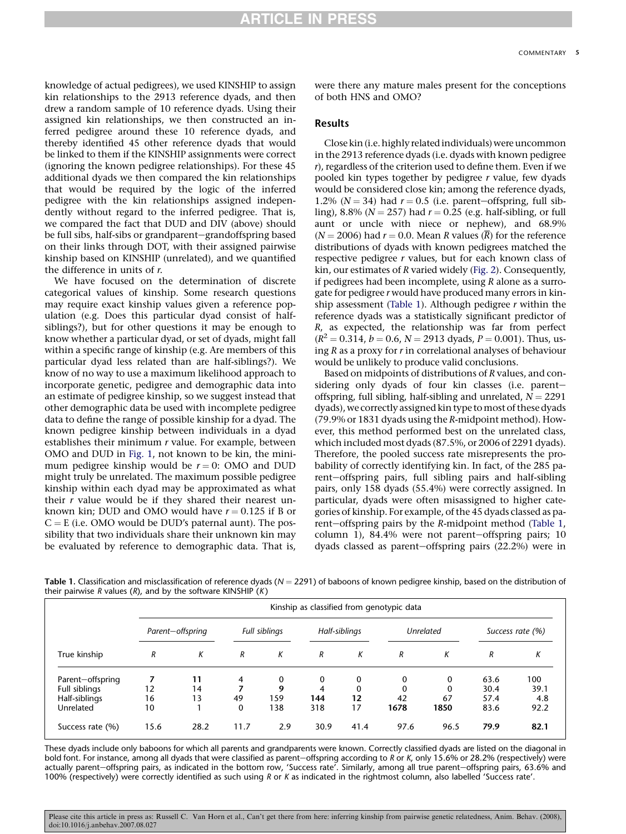<span id="page-4-0"></span>knowledge of actual pedigrees), we used KINSHIP to assign kin relationships to the 2913 reference dyads, and then drew a random sample of 10 reference dyads. Using their assigned kin relationships, we then constructed an inferred pedigree around these 10 reference dyads, and thereby identified 45 other reference dyads that would be linked to them if the KINSHIP assignments were correct (ignoring the known pedigree relationships). For these 45 additional dyads we then compared the kin relationships that would be required by the logic of the inferred pedigree with the kin relationships assigned independently without regard to the inferred pedigree. That is, we compared the fact that DUD and DIV (above) should be full sibs, half-sibs or grandparent-grandoffspring based on their links through DOT, with their assigned pairwise kinship based on KINSHIP (unrelated), and we quantified the difference in units of r.

We have focused on the determination of discrete categorical values of kinship. Some research questions may require exact kinship values given a reference population (e.g. Does this particular dyad consist of halfsiblings?), but for other questions it may be enough to know whether a particular dyad, or set of dyads, might fall within a specific range of kinship (e.g. Are members of this particular dyad less related than are half-siblings?). We know of no way to use a maximum likelihood approach to incorporate genetic, pedigree and demographic data into an estimate of pedigree kinship, so we suggest instead that other demographic data be used with incomplete pedigree data to define the range of possible kinship for a dyad. The known pedigree kinship between individuals in a dyad establishes their minimum r value. For example, between OMO and DUD in [Fig. 1](#page-2-0), not known to be kin, the minimum pedigree kinship would be  $r = 0$ : OMO and DUD might truly be unrelated. The maximum possible pedigree kinship within each dyad may be approximated as what their  $r$  value would be if they shared their nearest unknown kin; DUD and OMO would have  $r = 0.125$  if B or  $C = E$  (i.e. OMO would be DUD's paternal aunt). The possibility that two individuals share their unknown kin may be evaluated by reference to demographic data. That is,

were there any mature males present for the conceptions of both HNS and OMO?

### Results

Close kin (i.e. highly related individuals) were uncommon in the 2913 reference dyads (i.e. dyads with known pedigree r), regardless of the criterion used to define them. Even if we pooled kin types together by pedigree  $r$  value, few dyads would be considered close kin; among the reference dyads, 1.2% ( $N = 34$ ) had  $r = 0.5$  (i.e. parent-offspring, full sibling), 8.8% ( $N = 257$ ) had  $r = 0.25$  (e.g. half-sibling, or full aunt or uncle with niece or nephew), and 68.9%  $(N = 2006)$  had  $r = 0.0$ . Mean R values  $(\overline{R})$  for the reference distributions of dyads with known pedigrees matched the respective pedigree r values, but for each known class of kin, our estimates of R varied widely [\(Fig. 2\)](#page-3-0). Consequently, if pedigrees had been incomplete, using R alone as a surrogate for pedigree r would have produced many errors in kinship assessment (Table 1). Although pedigree  $r$  within the reference dyads was a statistically significant predictor of R, as expected, the relationship was far from perfect  $(R^{2} = 0.314, b = 0.6, N = 2913$  dyads,  $P = 0.001$ ). Thus, using  $R$  as a proxy for  $r$  in correlational analyses of behaviour would be unlikely to produce valid conclusions.

Based on midpoints of distributions of R values, and considering only dyads of four kin classes (i.e. parentoffspring, full sibling, half-sibling and unrelated,  $N = 2291$ dyads), we correctly assigned kin type to most of these dyads (79.9% or 1831 dyads using the R-midpoint method). However, this method performed best on the unrelated class, which included most dyads (87.5%, or 2006 of 2291 dyads). Therefore, the pooled success rate misrepresents the probability of correctly identifying kin. In fact, of the 285 parent-offspring pairs, full sibling pairs and half-sibling pairs, only 158 dyads (55.4%) were correctly assigned. In particular, dyads were often misassigned to higher categories of kinship. For example, of the 45 dyads classed as parent-offspring pairs by the  $R$ -midpoint method (Table 1, column 1),  $84.4\%$  were not parent-offspring pairs; 10 dyads classed as parent-offspring pairs (22.2%) were in

Table 1. Classification and misclassification of reference dyads ( $N = 2291$ ) of baboons of known pedigree kinship, based on the distribution of their pairwise  $R$  values ( $R$ ), and by the software KINSHIP ( $K$ )

| True kinship     | Kinship as classified from genotypic data |      |                |     |               |          |           |          |                  |      |
|------------------|-------------------------------------------|------|----------------|-----|---------------|----------|-----------|----------|------------------|------|
|                  | Parent-offspring                          |      | Full siblings  |     | Half-siblings |          | Unrelated |          | Success rate (%) |      |
|                  | R                                         | К    | R              | K   | R             | К        | R         | К        | R                | Κ    |
| Parent-offspring |                                           | 11   | $\overline{4}$ | 0   | 0             | 0        | 0         | 0        | 63.6             | 100  |
| Full siblings    | 12                                        | 14   |                | 9   | 4             | $\Omega$ | 0         | $\Omega$ | 30.4             | 39.1 |
| Half-siblings    | 16                                        | 13   | 49             | 159 | 144           | 12       | 42        | 67       | 57.4             | 4.8  |
| Unrelated        | 10                                        |      | 0              | 138 | 318           | 17       | 1678      | 1850     | 83.6             | 92.2 |
| Success rate (%) | 15.6                                      | 28.2 | 11.7           | 2.9 | 30.9          | 41.4     | 97.6      | 96.5     | 79.9             | 82.1 |

These dyads include only baboons for which all parents and grandparents were known. Correctly classified dyads are listed on the diagonal in bold font. For instance, among all dyads that were classified as parent-offspring according to R or K, only 15.6% or 28.2% (respectively) were actually parent-offspring pairs, as indicated in the bottom row, 'Success rate'. Similarly, among all true parent-offspring pairs, 63.6% and 100% (respectively) were correctly identified as such using R or K as indicated in the rightmost column, also labelled 'Success rate'.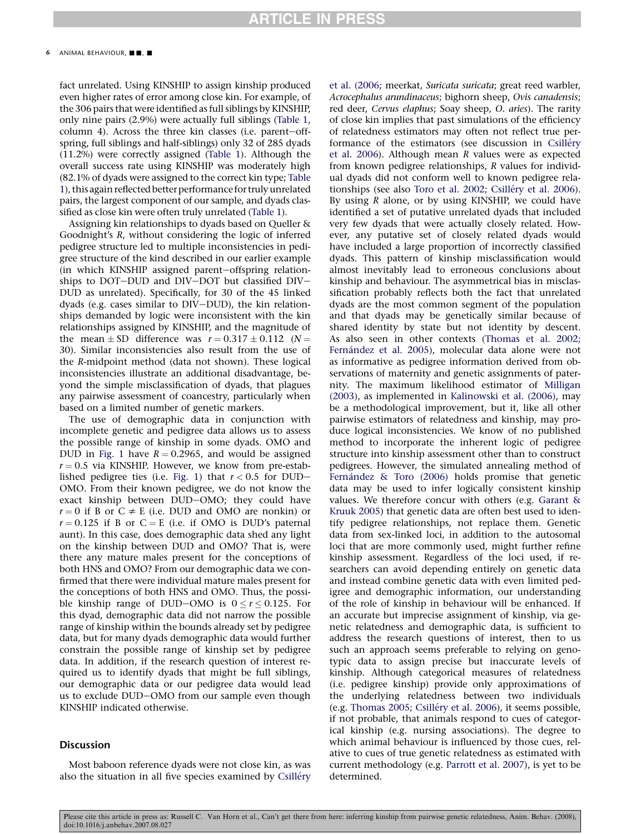fact unrelated. Using KINSHIP to assign kinship produced even higher rates of error among close kin. For example, of the 306 pairs that were identified as full siblings by KINSHIP, only nine pairs (2.9%) were actually full siblings ([Table 1](#page-4-0), column 4). Across the three kin classes (i.e. parent-offspring, full siblings and half-siblings) only 32 of 285 dyads (11.2%) were correctly assigned [\(Table 1](#page-4-0)). Although the overall success rate using KINSHIP was moderately high (82.1% of dyads were assigned to the correct kin type; [Table](#page-4-0) [1\)](#page-4-0), this again reflected better performance for truly unrelated pairs, the largest component of our sample, and dyads classified as close kin were often truly unrelated [\(Table 1](#page-4-0)).

Assigning kin relationships to dyads based on Queller & Goodnight's R, without considering the logic of inferred pedigree structure led to multiple inconsistencies in pedigree structure of the kind described in our earlier example (in which KINSHIP assigned parent-offspring relationships to DOT-DUD and DIV-DOT but classified DIV-DUD as unrelated). Specifically, for 30 of the 45 linked dyads (e.g. cases similar to  $DIV$ – $DUD$ ), the kin relationships demanded by logic were inconsistent with the kin relationships assigned by KINSHIP, and the magnitude of the mean  $\pm$  SD difference was  $r = 0.317 \pm 0.112$  (N = 30). Similar inconsistencies also result from the use of the R-midpoint method (data not shown). These logical inconsistencies illustrate an additional disadvantage, beyond the simple misclassification of dyads, that plagues any pairwise assessment of coancestry, particularly when based on a limited number of genetic markers.

The use of demographic data in conjunction with incomplete genetic and pedigree data allows us to assess the possible range of kinship in some dyads. OMO and DUD in [Fig. 1](#page-2-0) have  $R = 0.2965$ , and would be assigned  $r = 0.5$  via KINSHIP. However, we know from pre-estab-lished pedigree ties (i.e. [Fig. 1](#page-2-0)) that  $r < 0.5$  for DUD-OMO. From their known pedigree, we do not know the exact kinship between DUD-OMO; they could have  $r = 0$  if B or C  $\neq$  E (i.e. DUD and OMO are nonkin) or  $r = 0.125$  if B or  $C = E$  (i.e. if OMO is DUD's paternal aunt). In this case, does demographic data shed any light on the kinship between DUD and OMO? That is, were there any mature males present for the conceptions of both HNS and OMO? From our demographic data we confirmed that there were individual mature males present for the conceptions of both HNS and OMO. Thus, the possible kinship range of DUD-OMO is  $0 \le r \le 0.125$ . For this dyad, demographic data did not narrow the possible range of kinship within the bounds already set by pedigree data, but for many dyads demographic data would further constrain the possible range of kinship set by pedigree data. In addition, if the research question of interest required us to identify dyads that might be full siblings, our demographic data or our pedigree data would lead us to exclude DUD-OMO from our sample even though KINSHIP indicated otherwise.

#### **Discussion**

Most baboon reference dyads were not close kin, as was also the situation in all five species examined by Csilléry

[et al. \(2006;](#page-6-0) meerkat, Suricata suricata; great reed warbler, Acrocephalus arundinaceus; bighorn sheep, Ovis canadensis; red deer, Cervus elaphus; Soay sheep, O. aries). The rarity of close kin implies that past simulations of the efficiency of relatedness estimators may often not reflect true performance of the estimators (see discussion in Csilléry [et al. 2006](#page-6-0)). Although mean R values were as expected from known pedigree relationships, R values for individual dyads did not conform well to known pedigree relationships (see also Toro et al. 2002; Csilléry et al. 2006). By using  $R$  alone, or by using KINSHIP, we could have identified a set of putative unrelated dyads that included very few dyads that were actually closely related. However, any putative set of closely related dyads would have included a large proportion of incorrectly classified dyads. This pattern of kinship misclassification would almost inevitably lead to erroneous conclusions about kinship and behaviour. The asymmetrical bias in misclassification probably reflects both the fact that unrelated dyads are the most common segment of the population and that dyads may be genetically similar because of shared identity by state but not identity by descent. As also seen in other contexts ([Thomas et al. 2002;](#page-7-0) Fernández et al. 2005), molecular data alone were not as informative as pedigree information derived from observations of maternity and genetic assignments of paternity. The maximum likelihood estimator of [Milligan](#page-6-0) [\(2003\)](#page-6-0), as implemented in [Kalinowski et al. \(2006\),](#page-6-0) may be a methodological improvement, but it, like all other pairwise estimators of relatedness and kinship, may produce logical inconsistencies. We know of no published method to incorporate the inherent logic of pedigree structure into kinship assessment other than to construct pedigrees. However, the simulated annealing method of Fernández & Toro (2006) holds promise that genetic data may be used to infer logically consistent kinship values. We therefore concur with others (e.g. [Garant &](#page-6-0) [Kruuk 2005\)](#page-6-0) that genetic data are often best used to identify pedigree relationships, not replace them. Genetic data from sex-linked loci, in addition to the autosomal loci that are more commonly used, might further refine kinship assessment. Regardless of the loci used, if researchers can avoid depending entirely on genetic data and instead combine genetic data with even limited pedigree and demographic information, our understanding of the role of kinship in behaviour will be enhanced. If an accurate but imprecise assignment of kinship, via genetic relatedness and demographic data, is sufficient to address the research questions of interest, then to us such an approach seems preferable to relying on genotypic data to assign precise but inaccurate levels of kinship. Although categorical measures of relatedness (i.e. pedigree kinship) provide only approximations of the underlying relatedness between two individuals (e.g. Thomas 2005; Csilléry et al. 2006), it seems possible, if not probable, that animals respond to cues of categorical kinship (e.g. nursing associations). The degree to which animal behaviour is influenced by those cues, relative to cues of true genetic relatedness as estimated with current methodology (e.g. [Parrott et al. 2007\)](#page-6-0), is yet to be determined.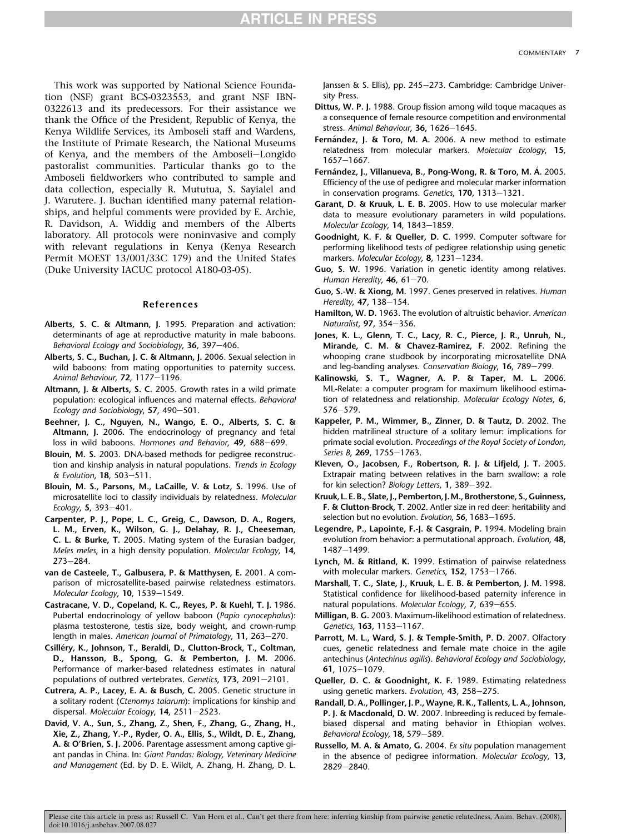<span id="page-6-0"></span>This work was supported by National Science Foundation (NSF) grant BCS-0323553, and grant NSF IBN-0322613 and its predecessors. For their assistance we thank the Office of the President, Republic of Kenya, the Kenya Wildlife Services, its Amboseli staff and Wardens, the Institute of Primate Research, the National Museums of Kenya, and the members of the Amboseli-Longido pastoralist communities. Particular thanks go to the Amboseli fieldworkers who contributed to sample and data collection, especially R. Mututua, S. Sayialel and J. Warutere. J. Buchan identified many paternal relationships, and helpful comments were provided by E. Archie, R. Davidson, A. Widdig and members of the Alberts laboratory. All protocols were noninvasive and comply with relevant regulations in Kenya (Kenya Research Permit MOEST 13/001/33C 179) and the United States (Duke University IACUC protocol A180-03-05).

#### References

- Alberts, S. C. & Altmann, J. 1995. Preparation and activation: determinants of age at reproductive maturity in male baboons. Behavioral Ecology and Sociobiology, 36, 397-406.
- Alberts, S. C., Buchan, J. C. & Altmann, J. 2006. Sexual selection in wild baboons: from mating opportunities to paternity success. Animal Behaviour, 72, 1177-1196.
- Altmann, J. & Alberts, S. C. 2005. Growth rates in a wild primate population: ecological influences and maternal effects. Behavioral Ecology and Sociobiology, 57, 490-501.
- Beehner, J. C., Nguyen, N., Wango, E. O., Alberts, S. C. & Altmann, J. 2006. The endocrinology of pregnancy and fetal loss in wild baboons. Hormones and Behavior, 49, 688-699.
- Blouin, M. S. 2003. DNA-based methods for pedigree reconstruction and kinship analysis in natural populations. Trends in Ecology & Evolution, 18, 503-511.
- Blouin, M. S., Parsons, M., LaCaille, V. & Lotz, S. 1996. Use of microsatellite loci to classify individuals by relatedness. Molecular Ecology,  $5, 393 - 401$ .
- Carpenter, P. J., Pope, L. C., Greig, C., Dawson, D. A., Rogers, L. M., Erven, K., Wilson, G. J., Delahay, R. J., Cheeseman, C. L. & Burke, T. 2005. Mating system of the Eurasian badger, Meles meles, in a high density population. Molecular Ecology, 14,  $273 - 284.$
- van de Casteele, T., Galbusera, P. & Matthysen, E. 2001. A comparison of microsatellite-based pairwise relatedness estimators. Molecular Ecology, 10, 1539-1549.
- Castracane, V. D., Copeland, K. C., Reyes, P. & Kuehl, T. J. 1986. Pubertal endocrinology of yellow baboon (Papio cynocephalus): plasma testosterone, testis size, body weight, and crown-rump length in males. American Journal of Primatology, 11, 263-270.
- Csilléry, K., Johnson, T., Beraldi, D., Clutton-Brock, T., Coltman, D., Hansson, B., Spong, G. & Pemberton, J. M. 2006. Performance of marker-based relatedness estimates in natural populations of outbred vertebrates. Genetics, 173, 2091-2101.
- Cutrera, A. P., Lacey, E. A. & Busch, C. 2005. Genetic structure in a solitary rodent (Ctenomys talarum): implications for kinship and dispersal. Molecular Ecology, 14, 2511-2523.
- David, V. A., Sun, S., Zhang, Z., Shen, F., Zhang, G., Zhang, H., Xie, Z., Zhang, Y.-P., Ryder, O. A., Ellis, S., Wildt, D. E., Zhang, A. & O'Brien, S. J. 2006. Parentage assessment among captive giant pandas in China. In: Giant Pandas: Biology, Veterinary Medicine and Management (Ed. by D. E. Wildt, A. Zhang, H. Zhang, D. L.

Janssen & S. Ellis), pp. 245-273. Cambridge: Cambridge University Press.

- Dittus, W. P. J. 1988. Group fission among wild toque macaques as a consequence of female resource competition and environmental stress. Animal Behaviour, 36, 1626-1645.
- Fernández, J. & Toro, M. A. 2006. A new method to estimate relatedness from molecular markers. Molecular Ecology, 15, 1657-1667.
- Fernández, J., Villanueva, B., Pong-Wong, R. & Toro, M. Á. 2005. Efficiency of the use of pedigree and molecular marker information in conservation programs. Genetics, 170, 1313-1321.
- Garant, D. & Kruuk, L. E. B. 2005. How to use molecular marker data to measure evolutionary parameters in wild populations. Molecular Ecology, 14, 1843-1859.
- Goodnight, K. F. & Queller, D. C. 1999. Computer software for performing likelihood tests of pedigree relationship using genetic markers. Molecular Ecology, 8, 1231-1234.
- Guo, S. W. 1996. Variation in genetic identity among relatives. Human Heredity,  $46, 61-70$ .
- Guo, S.-W. & Xiong, M. 1997. Genes preserved in relatives. Human Heredity, 47, 138-154.
- Hamilton, W. D. 1963. The evolution of altruistic behavior. American Naturalist, 97, 354-356.
- Jones, K. L., Glenn, T. C., Lacy, R. C., Pierce, J. R., Unruh, N., Mirande, C. M. & Chavez-Ramirez, F. 2002. Refining the whooping crane studbook by incorporating microsatellite DNA and leg-banding analyses. Conservation Biology, 16, 789-799.
- Kalinowski, S. T., Wagner, A. P. & Taper, M. L. 2006. ML-Relate: a computer program for maximum likelihood estimation of relatedness and relationship. Molecular Ecology Notes, 6,  $576 - 579.$
- Kappeler, P. M., Wimmer, B., Zinner, D. & Tautz, D. 2002. The hidden matrilineal structure of a solitary lemur: implications for primate social evolution. Proceedings of the Royal Society of London, Series B, 269, 1755-1763.
- Kleven, O., Jacobsen, F., Robertson, R. J. & Lifjeld, J. T. 2005. Extrapair mating between relatives in the barn swallow: a role for kin selection? Biology Letters, 1, 389-392.
- Kruuk, L. E. B., Slate, J., Pemberton, J.M., Brotherstone, S., Guinness, F. & Clutton-Brock, T. 2002. Antler size in red deer: heritability and selection but no evolution. Evolution, 56, 1683-1695.
- Legendre, P., Lapointe, F.-J. & Casgrain, P. 1994. Modeling brain evolution from behavior: a permutational approach. Evolution, 48, 1487-1499.
- Lynch, M. & Ritland, K. 1999. Estimation of pairwise relatedness with molecular markers. Genetics, 152, 1753-1766.
- Marshall, T. C., Slate, J., Kruuk, L. E. B. & Pemberton, J. M. 1998. Statistical confidence for likelihood-based paternity inference in natural populations. Molecular Ecology, 7, 639–655.
- Milligan, B. G. 2003. Maximum-likelihood estimation of relatedness. Genetics, 163, 1153-1167.
- Parrott, M. L., Ward, S. J. & Temple-Smith, P. D. 2007. Olfactory cues, genetic relatedness and female mate choice in the agile antechinus (Antechinus agilis). Behavioral Ecology and Sociobiology, 61, 1075-1079.
- Queller, D. C. & Goodnight, K. F. 1989. Estimating relatedness using genetic markers. Evolution, 43, 258-275.
- Randall, D. A., Pollinger, J. P., Wayne, R. K., Tallents, L. A., Johnson, P. J. & Macdonald, D. W. 2007. Inbreeding is reduced by femalebiased dispersal and mating behavior in Ethiopian wolves. Behavioral Ecology, 18, 579-589.
- Russello, M. A. & Amato, G. 2004. Ex situ population management in the absence of pedigree information. Molecular Ecology, 13, 2829-2840.